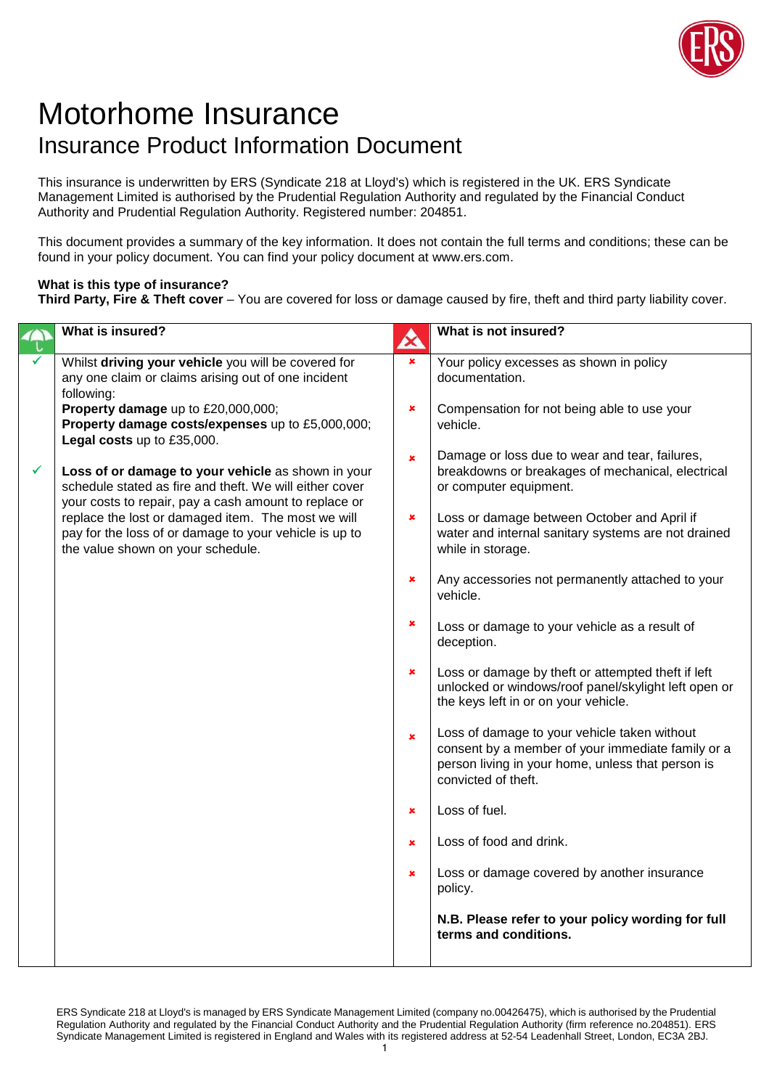

## Motorhome Insurance Insurance Product Information Document

This insurance is underwritten by ERS (Syndicate 218 at Lloyd's) which is registered in the UK. ERS Syndicate Management Limited is authorised by the Prudential Regulation Authority and regulated by the Financial Conduct Authority and Prudential Regulation Authority. Registered number: 204851.

This document provides a summary of the key information. It does not contain the full terms and conditions; these can be found in your policy document. You can find your policy document at www.ers.com.

## **What is this type of insurance?**

**Third Party, Fire & Theft cover** – You are covered for loss or damage caused by fire, theft and third party liability cover.

|                                                                                                                                                                                                                                                                                                                                                                                                                                                                                                                                     | What is not insured?                                                                                                                                                          |
|-------------------------------------------------------------------------------------------------------------------------------------------------------------------------------------------------------------------------------------------------------------------------------------------------------------------------------------------------------------------------------------------------------------------------------------------------------------------------------------------------------------------------------------|-------------------------------------------------------------------------------------------------------------------------------------------------------------------------------|
|                                                                                                                                                                                                                                                                                                                                                                                                                                                                                                                                     | Your policy excesses as shown in policy<br>documentation.                                                                                                                     |
| ×                                                                                                                                                                                                                                                                                                                                                                                                                                                                                                                                   | Compensation for not being able to use your<br>vehicle.                                                                                                                       |
| $\pmb{\times}$                                                                                                                                                                                                                                                                                                                                                                                                                                                                                                                      | Damage or loss due to wear and tear, failures,<br>breakdowns or breakages of mechanical, electrical<br>or computer equipment.                                                 |
|                                                                                                                                                                                                                                                                                                                                                                                                                                                                                                                                     | Loss or damage between October and April if<br>water and internal sanitary systems are not drained<br>while in storage.                                                       |
|                                                                                                                                                                                                                                                                                                                                                                                                                                                                                                                                     | Any accessories not permanently attached to your<br>vehicle.                                                                                                                  |
| ×                                                                                                                                                                                                                                                                                                                                                                                                                                                                                                                                   | Loss or damage to your vehicle as a result of<br>deception.                                                                                                                   |
|                                                                                                                                                                                                                                                                                                                                                                                                                                                                                                                                     | Loss or damage by theft or attempted theft if left<br>unlocked or windows/roof panel/skylight left open or<br>the keys left in or on your vehicle.                            |
| $\pmb{\times}$                                                                                                                                                                                                                                                                                                                                                                                                                                                                                                                      | Loss of damage to your vehicle taken without<br>consent by a member of your immediate family or a<br>person living in your home, unless that person is<br>convicted of theft. |
| ×                                                                                                                                                                                                                                                                                                                                                                                                                                                                                                                                   | Loss of fuel.                                                                                                                                                                 |
| ×                                                                                                                                                                                                                                                                                                                                                                                                                                                                                                                                   | Loss of food and drink.                                                                                                                                                       |
| ×                                                                                                                                                                                                                                                                                                                                                                                                                                                                                                                                   | Loss or damage covered by another insurance<br>policy.                                                                                                                        |
|                                                                                                                                                                                                                                                                                                                                                                                                                                                                                                                                     | N.B. Please refer to your policy wording for full<br>terms and conditions.                                                                                                    |
| Whilst driving your vehicle you will be covered for<br>any one claim or claims arising out of one incident<br>Property damage up to £20,000,000;<br>Property damage costs/expenses up to £5,000,000;<br>Loss of or damage to your vehicle as shown in your<br>schedule stated as fire and theft. We will either cover<br>your costs to repair, pay a cash amount to replace or<br>replace the lost or damaged item. The most we will<br>pay for the loss of or damage to your vehicle is up to<br>the value shown on your schedule. | A<br>$\pmb{\times}$<br>×<br>×<br>×                                                                                                                                            |